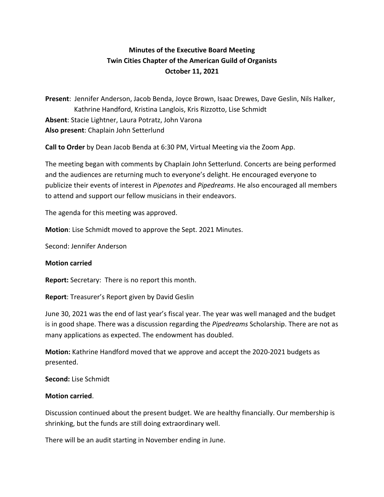# **Minutes of the Executive Board Meeting Twin Cities Chapter of the American Guild of Organists October 11, 2021**

**Present**: Jennifer Anderson, Jacob Benda, Joyce Brown, Isaac Drewes, Dave Geslin, Nils Halker, Kathrine Handford, Kristina Langlois, Kris Rizzotto, Lise Schmidt **Absent**: Stacie Lightner, Laura Potratz, John Varona **Also present**: Chaplain John Setterlund

**Call to Order** by Dean Jacob Benda at 6:30 PM, Virtual Meeting via the Zoom App.

The meeting began with comments by Chaplain John Setterlund. Concerts are being performed and the audiences are returning much to everyone's delight. He encouraged everyone to publicize their events of interest in *Pipenotes* and *Pipedreams*. He also encouraged all members to attend and support our fellow musicians in their endeavors.

The agenda for this meeting was approved.

**Motion**: Lise Schmidt moved to approve the Sept. 2021 Minutes.

Second: Jennifer Anderson

#### **Motion carried**

**Report:** Secretary: There is no report this month.

**Report**: Treasurer's Report given by David Geslin

June 30, 2021 was the end of last year's fiscal year. The year was well managed and the budget is in good shape. There was a discussion regarding the *Pipedreams* Scholarship. There are not as many applications as expected. The endowment has doubled.

**Motion:** Kathrine Handford moved that we approve and accept the 2020-2021 budgets as presented.

**Second:** Lise Schmidt

#### **Motion carried**.

Discussion continued about the present budget. We are healthy financially. Our membership is shrinking, but the funds are still doing extraordinary well.

There will be an audit starting in November ending in June.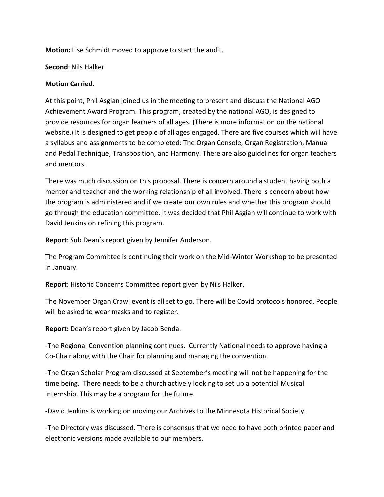**Motion:** Lise Schmidt moved to approve to start the audit.

**Second**: Nils Halker

### **Motion Carried.**

At this point, Phil Asgian joined us in the meeting to present and discuss the National AGO Achievement Award Program. This program, created by the national AGO, is designed to provide resources for organ learners of all ages. (There is more information on the national website.) It is designed to get people of all ages engaged. There are five courses which will have a syllabus and assignments to be completed: The Organ Console, Organ Registration, Manual and Pedal Technique, Transposition, and Harmony. There are also guidelines for organ teachers and mentors.

There was much discussion on this proposal. There is concern around a student having both a mentor and teacher and the working relationship of all involved. There is concern about how the program is administered and if we create our own rules and whether this program should go through the education committee. It was decided that Phil Asgian will continue to work with David Jenkins on refining this program.

**Report**: Sub Dean's report given by Jennifer Anderson.

The Program Committee is continuing their work on the Mid-Winter Workshop to be presented in January.

**Report**: Historic Concerns Committee report given by Nils Halker.

The November Organ Crawl event is all set to go. There will be Covid protocols honored. People will be asked to wear masks and to register.

**Report:** Dean's report given by Jacob Benda.

-The Regional Convention planning continues. Currently National needs to approve having a Co-Chair along with the Chair for planning and managing the convention.

-The Organ Scholar Program discussed at September's meeting will not be happening for the time being. There needs to be a church actively looking to set up a potential Musical internship. This may be a program for the future.

-David Jenkins is working on moving our Archives to the Minnesota Historical Society.

-The Directory was discussed. There is consensus that we need to have both printed paper and electronic versions made available to our members.